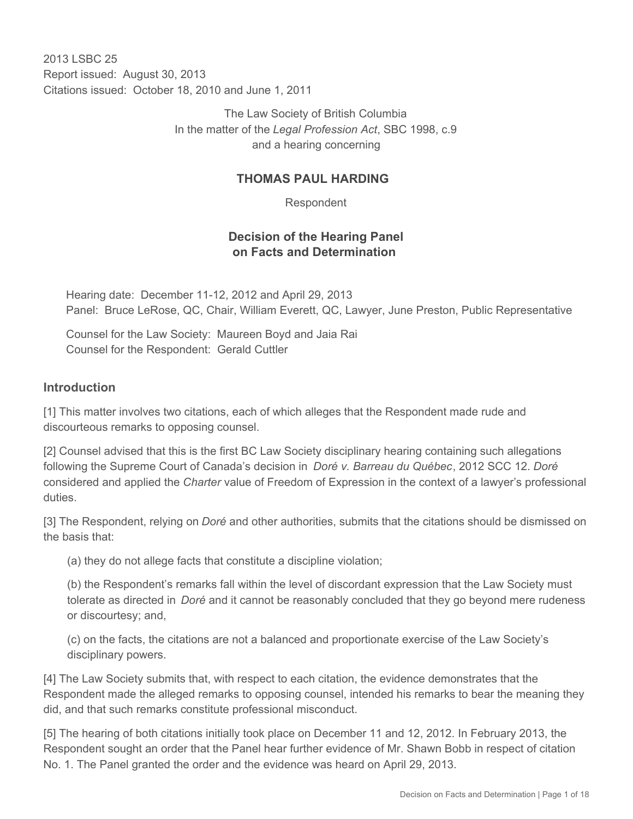2013 LSBC 25 Report issued: August 30, 2013 Citations issued: October 18, 2010 and June 1, 2011

> The Law Society of British Columbia In the matter of the *Legal Profession Act*, SBC 1998, c.9 and a hearing concerning

### **THOMAS PAUL HARDING**

Respondent

## **Decision of the Hearing Panel on Facts and Determination**

Hearing date: December 11-12, 2012 and April 29, 2013 Panel: Bruce LeRose, QC, Chair, William Everett, QC, Lawyer, June Preston, Public Representative

Counsel for the Law Society: Maureen Boyd and Jaia Rai Counsel for the Respondent: Gerald Cuttler

#### **Introduction**

[1] This matter involves two citations, each of which alleges that the Respondent made rude and discourteous remarks to opposing counsel.

[2] Counsel advised that this is the first BC Law Society disciplinary hearing containing such allegations following the Supreme Court of Canada's decision in *Doré v. Barreau du Québec*, 2012 SCC 12. *Doré*  considered and applied the *Charter* value of Freedom of Expression in the context of a lawyer's professional duties.

[3] The Respondent, relying on *Doré* and other authorities, submits that the citations should be dismissed on the basis that:

(a) they do not allege facts that constitute a discipline violation;

(b) the Respondent's remarks fall within the level of discordant expression that the Law Society must tolerate as directed in *Doré* and it cannot be reasonably concluded that they go beyond mere rudeness or discourtesy; and,

(c) on the facts, the citations are not a balanced and proportionate exercise of the Law Society's disciplinary powers.

[4] The Law Society submits that, with respect to each citation, the evidence demonstrates that the Respondent made the alleged remarks to opposing counsel, intended his remarks to bear the meaning they did, and that such remarks constitute professional misconduct.

[5] The hearing of both citations initially took place on December 11 and 12, 2012. In February 2013, the Respondent sought an order that the Panel hear further evidence of Mr. Shawn Bobb in respect of citation No. 1. The Panel granted the order and the evidence was heard on April 29, 2013.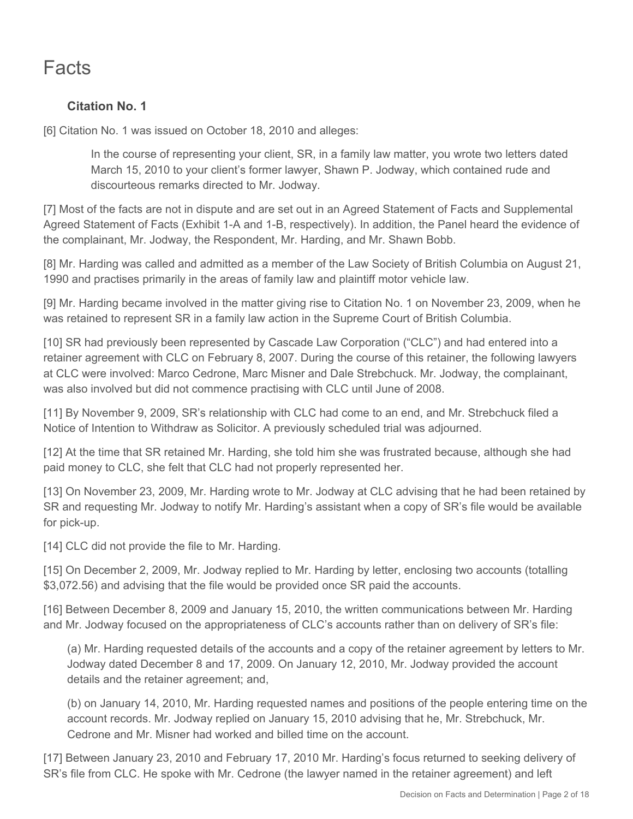# **Facts**

# **Citation No. 1**

[6] Citation No. 1 was issued on October 18, 2010 and alleges:

In the course of representing your client, SR, in a family law matter, you wrote two letters dated March 15, 2010 to your client's former lawyer, Shawn P. Jodway, which contained rude and discourteous remarks directed to Mr. Jodway.

[7] Most of the facts are not in dispute and are set out in an Agreed Statement of Facts and Supplemental Agreed Statement of Facts (Exhibit 1-A and 1-B, respectively). In addition, the Panel heard the evidence of the complainant, Mr. Jodway, the Respondent, Mr. Harding, and Mr. Shawn Bobb.

[8] Mr. Harding was called and admitted as a member of the Law Society of British Columbia on August 21, 1990 and practises primarily in the areas of family law and plaintiff motor vehicle law.

[9] Mr. Harding became involved in the matter giving rise to Citation No. 1 on November 23, 2009, when he was retained to represent SR in a family law action in the Supreme Court of British Columbia.

[10] SR had previously been represented by Cascade Law Corporation ("CLC") and had entered into a retainer agreement with CLC on February 8, 2007. During the course of this retainer, the following lawyers at CLC were involved: Marco Cedrone, Marc Misner and Dale Strebchuck. Mr. Jodway, the complainant, was also involved but did not commence practising with CLC until June of 2008.

[11] By November 9, 2009, SR's relationship with CLC had come to an end, and Mr. Strebchuck filed a Notice of Intention to Withdraw as Solicitor. A previously scheduled trial was adjourned.

[12] At the time that SR retained Mr. Harding, she told him she was frustrated because, although she had paid money to CLC, she felt that CLC had not properly represented her.

[13] On November 23, 2009, Mr. Harding wrote to Mr. Jodway at CLC advising that he had been retained by SR and requesting Mr. Jodway to notify Mr. Harding's assistant when a copy of SR's file would be available for pick-up.

[14] CLC did not provide the file to Mr. Harding.

[15] On December 2, 2009, Mr. Jodway replied to Mr. Harding by letter, enclosing two accounts (totalling \$3,072.56) and advising that the file would be provided once SR paid the accounts.

[16] Between December 8, 2009 and January 15, 2010, the written communications between Mr. Harding and Mr. Jodway focused on the appropriateness of CLC's accounts rather than on delivery of SR's file:

(a) Mr. Harding requested details of the accounts and a copy of the retainer agreement by letters to Mr. Jodway dated December 8 and 17, 2009. On January 12, 2010, Mr. Jodway provided the account details and the retainer agreement; and,

(b) on January 14, 2010, Mr. Harding requested names and positions of the people entering time on the account records. Mr. Jodway replied on January 15, 2010 advising that he, Mr. Strebchuck, Mr. Cedrone and Mr. Misner had worked and billed time on the account.

[17] Between January 23, 2010 and February 17, 2010 Mr. Harding's focus returned to seeking delivery of SR's file from CLC. He spoke with Mr. Cedrone (the lawyer named in the retainer agreement) and left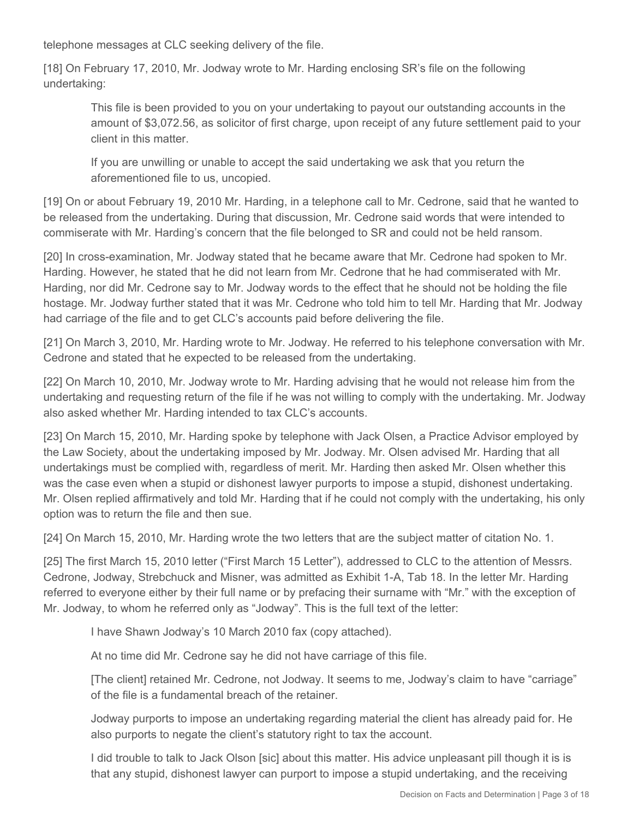telephone messages at CLC seeking delivery of the file.

[18] On February 17, 2010, Mr. Jodway wrote to Mr. Harding enclosing SR's file on the following undertaking:

This file is been provided to you on your undertaking to payout our outstanding accounts in the amount of \$3,072.56, as solicitor of first charge, upon receipt of any future settlement paid to your client in this matter.

If you are unwilling or unable to accept the said undertaking we ask that you return the aforementioned file to us, uncopied.

[19] On or about February 19, 2010 Mr. Harding, in a telephone call to Mr. Cedrone, said that he wanted to be released from the undertaking. During that discussion, Mr. Cedrone said words that were intended to commiserate with Mr. Harding's concern that the file belonged to SR and could not be held ransom.

[20] In cross-examination, Mr. Jodway stated that he became aware that Mr. Cedrone had spoken to Mr. Harding. However, he stated that he did not learn from Mr. Cedrone that he had commiserated with Mr. Harding, nor did Mr. Cedrone say to Mr. Jodway words to the effect that he should not be holding the file hostage. Mr. Jodway further stated that it was Mr. Cedrone who told him to tell Mr. Harding that Mr. Jodway had carriage of the file and to get CLC's accounts paid before delivering the file.

[21] On March 3, 2010, Mr. Harding wrote to Mr. Jodway. He referred to his telephone conversation with Mr. Cedrone and stated that he expected to be released from the undertaking.

[22] On March 10, 2010, Mr. Jodway wrote to Mr. Harding advising that he would not release him from the undertaking and requesting return of the file if he was not willing to comply with the undertaking. Mr. Jodway also asked whether Mr. Harding intended to tax CLC's accounts.

[23] On March 15, 2010, Mr. Harding spoke by telephone with Jack Olsen, a Practice Advisor employed by the Law Society, about the undertaking imposed by Mr. Jodway. Mr. Olsen advised Mr. Harding that all undertakings must be complied with, regardless of merit. Mr. Harding then asked Mr. Olsen whether this was the case even when a stupid or dishonest lawyer purports to impose a stupid, dishonest undertaking. Mr. Olsen replied affirmatively and told Mr. Harding that if he could not comply with the undertaking, his only option was to return the file and then sue.

[24] On March 15, 2010, Mr. Harding wrote the two letters that are the subject matter of citation No. 1.

[25] The first March 15, 2010 letter ("First March 15 Letter"), addressed to CLC to the attention of Messrs. Cedrone, Jodway, Strebchuck and Misner, was admitted as Exhibit 1-A, Tab 18. In the letter Mr. Harding referred to everyone either by their full name or by prefacing their surname with "Mr." with the exception of Mr. Jodway, to whom he referred only as "Jodway". This is the full text of the letter:

I have Shawn Jodway's 10 March 2010 fax (copy attached).

At no time did Mr. Cedrone say he did not have carriage of this file.

[The client] retained Mr. Cedrone, not Jodway. It seems to me, Jodway's claim to have "carriage" of the file is a fundamental breach of the retainer.

Jodway purports to impose an undertaking regarding material the client has already paid for. He also purports to negate the client's statutory right to tax the account.

I did trouble to talk to Jack Olson [sic] about this matter. His advice unpleasant pill though it is is that any stupid, dishonest lawyer can purport to impose a stupid undertaking, and the receiving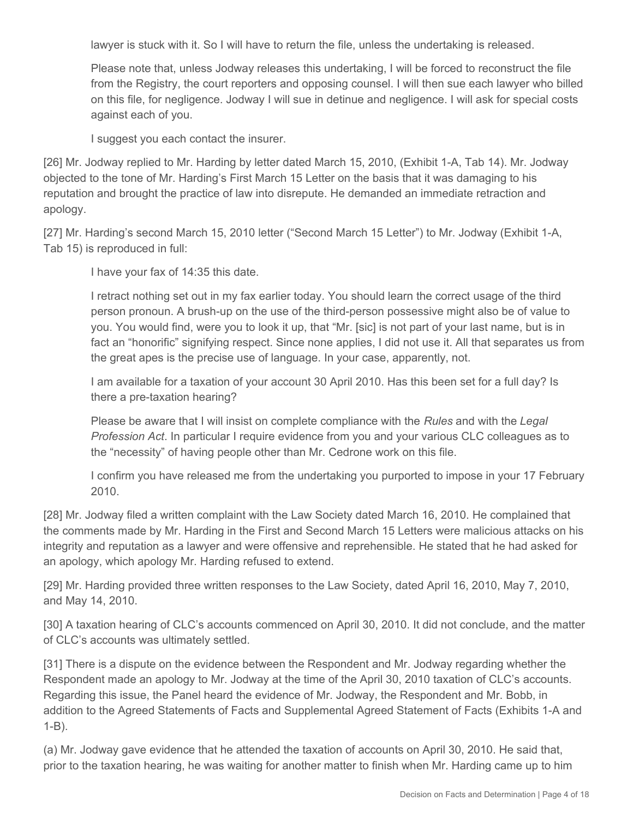lawyer is stuck with it. So I will have to return the file, unless the undertaking is released.

Please note that, unless Jodway releases this undertaking, I will be forced to reconstruct the file from the Registry, the court reporters and opposing counsel. I will then sue each lawyer who billed on this file, for negligence. Jodway I will sue in detinue and negligence. I will ask for special costs against each of you.

I suggest you each contact the insurer.

[26] Mr. Jodway replied to Mr. Harding by letter dated March 15, 2010, (Exhibit 1-A, Tab 14). Mr. Jodway objected to the tone of Mr. Harding's First March 15 Letter on the basis that it was damaging to his reputation and brought the practice of law into disrepute. He demanded an immediate retraction and apology.

[27] Mr. Harding's second March 15, 2010 letter ("Second March 15 Letter") to Mr. Jodway (Exhibit 1-A, Tab 15) is reproduced in full:

I have your fax of 14:35 this date.

I retract nothing set out in my fax earlier today. You should learn the correct usage of the third person pronoun. A brush-up on the use of the third-person possessive might also be of value to you. You would find, were you to look it up, that "Mr. [sic] is not part of your last name, but is in fact an "honorific" signifying respect. Since none applies, I did not use it. All that separates us from the great apes is the precise use of language. In your case, apparently, not.

I am available for a taxation of your account 30 April 2010. Has this been set for a full day? Is there a pre-taxation hearing?

Please be aware that I will insist on complete compliance with the *Rules* and with the *Legal Profession Act*. In particular I require evidence from you and your various CLC colleagues as to the "necessity" of having people other than Mr. Cedrone work on this file.

I confirm you have released me from the undertaking you purported to impose in your 17 February 2010.

[28] Mr. Jodway filed a written complaint with the Law Society dated March 16, 2010. He complained that the comments made by Mr. Harding in the First and Second March 15 Letters were malicious attacks on his integrity and reputation as a lawyer and were offensive and reprehensible. He stated that he had asked for an apology, which apology Mr. Harding refused to extend.

[29] Mr. Harding provided three written responses to the Law Society, dated April 16, 2010, May 7, 2010, and May 14, 2010.

[30] A taxation hearing of CLC's accounts commenced on April 30, 2010. It did not conclude, and the matter of CLC's accounts was ultimately settled.

[31] There is a dispute on the evidence between the Respondent and Mr. Jodway regarding whether the Respondent made an apology to Mr. Jodway at the time of the April 30, 2010 taxation of CLC's accounts. Regarding this issue, the Panel heard the evidence of Mr. Jodway, the Respondent and Mr. Bobb, in addition to the Agreed Statements of Facts and Supplemental Agreed Statement of Facts (Exhibits 1-A and 1-B).

(a) Mr. Jodway gave evidence that he attended the taxation of accounts on April 30, 2010. He said that, prior to the taxation hearing, he was waiting for another matter to finish when Mr. Harding came up to him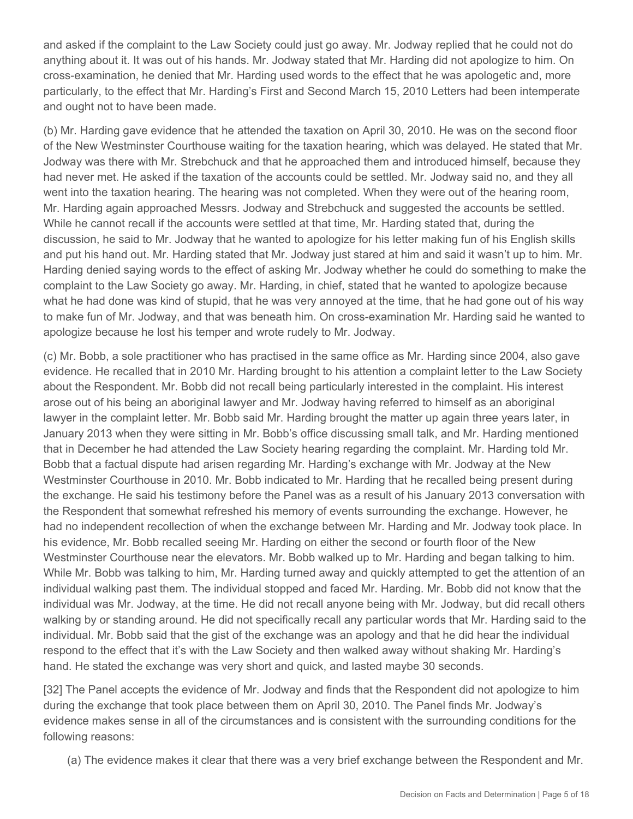and asked if the complaint to the Law Society could just go away. Mr. Jodway replied that he could not do anything about it. It was out of his hands. Mr. Jodway stated that Mr. Harding did not apologize to him. On cross-examination, he denied that Mr. Harding used words to the effect that he was apologetic and, more particularly, to the effect that Mr. Harding's First and Second March 15, 2010 Letters had been intemperate and ought not to have been made.

(b) Mr. Harding gave evidence that he attended the taxation on April 30, 2010. He was on the second floor of the New Westminster Courthouse waiting for the taxation hearing, which was delayed. He stated that Mr. Jodway was there with Mr. Strebchuck and that he approached them and introduced himself, because they had never met. He asked if the taxation of the accounts could be settled. Mr. Jodway said no, and they all went into the taxation hearing. The hearing was not completed. When they were out of the hearing room, Mr. Harding again approached Messrs. Jodway and Strebchuck and suggested the accounts be settled. While he cannot recall if the accounts were settled at that time, Mr. Harding stated that, during the discussion, he said to Mr. Jodway that he wanted to apologize for his letter making fun of his English skills and put his hand out. Mr. Harding stated that Mr. Jodway just stared at him and said it wasn't up to him. Mr. Harding denied saying words to the effect of asking Mr. Jodway whether he could do something to make the complaint to the Law Society go away. Mr. Harding, in chief, stated that he wanted to apologize because what he had done was kind of stupid, that he was very annoyed at the time, that he had gone out of his way to make fun of Mr. Jodway, and that was beneath him. On cross-examination Mr. Harding said he wanted to apologize because he lost his temper and wrote rudely to Mr. Jodway.

(c) Mr. Bobb, a sole practitioner who has practised in the same office as Mr. Harding since 2004, also gave evidence. He recalled that in 2010 Mr. Harding brought to his attention a complaint letter to the Law Society about the Respondent. Mr. Bobb did not recall being particularly interested in the complaint. His interest arose out of his being an aboriginal lawyer and Mr. Jodway having referred to himself as an aboriginal lawyer in the complaint letter. Mr. Bobb said Mr. Harding brought the matter up again three years later, in January 2013 when they were sitting in Mr. Bobb's office discussing small talk, and Mr. Harding mentioned that in December he had attended the Law Society hearing regarding the complaint. Mr. Harding told Mr. Bobb that a factual dispute had arisen regarding Mr. Harding's exchange with Mr. Jodway at the New Westminster Courthouse in 2010. Mr. Bobb indicated to Mr. Harding that he recalled being present during the exchange. He said his testimony before the Panel was as a result of his January 2013 conversation with the Respondent that somewhat refreshed his memory of events surrounding the exchange. However, he had no independent recollection of when the exchange between Mr. Harding and Mr. Jodway took place. In his evidence, Mr. Bobb recalled seeing Mr. Harding on either the second or fourth floor of the New Westminster Courthouse near the elevators. Mr. Bobb walked up to Mr. Harding and began talking to him. While Mr. Bobb was talking to him, Mr. Harding turned away and quickly attempted to get the attention of an individual walking past them. The individual stopped and faced Mr. Harding. Mr. Bobb did not know that the individual was Mr. Jodway, at the time. He did not recall anyone being with Mr. Jodway, but did recall others walking by or standing around. He did not specifically recall any particular words that Mr. Harding said to the individual. Mr. Bobb said that the gist of the exchange was an apology and that he did hear the individual respond to the effect that it's with the Law Society and then walked away without shaking Mr. Harding's hand. He stated the exchange was very short and quick, and lasted maybe 30 seconds.

[32] The Panel accepts the evidence of Mr. Jodway and finds that the Respondent did not apologize to him during the exchange that took place between them on April 30, 2010. The Panel finds Mr. Jodway's evidence makes sense in all of the circumstances and is consistent with the surrounding conditions for the following reasons:

(a) The evidence makes it clear that there was a very brief exchange between the Respondent and Mr.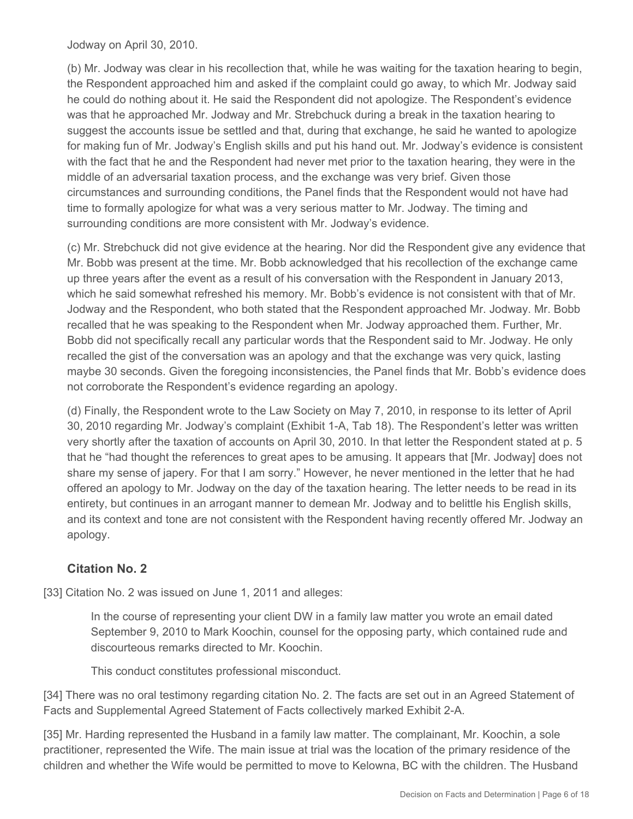Jodway on April 30, 2010.

(b) Mr. Jodway was clear in his recollection that, while he was waiting for the taxation hearing to begin, the Respondent approached him and asked if the complaint could go away, to which Mr. Jodway said he could do nothing about it. He said the Respondent did not apologize. The Respondent's evidence was that he approached Mr. Jodway and Mr. Strebchuck during a break in the taxation hearing to suggest the accounts issue be settled and that, during that exchange, he said he wanted to apologize for making fun of Mr. Jodway's English skills and put his hand out. Mr. Jodway's evidence is consistent with the fact that he and the Respondent had never met prior to the taxation hearing, they were in the middle of an adversarial taxation process, and the exchange was very brief. Given those circumstances and surrounding conditions, the Panel finds that the Respondent would not have had time to formally apologize for what was a very serious matter to Mr. Jodway. The timing and surrounding conditions are more consistent with Mr. Jodway's evidence.

(c) Mr. Strebchuck did not give evidence at the hearing. Nor did the Respondent give any evidence that Mr. Bobb was present at the time. Mr. Bobb acknowledged that his recollection of the exchange came up three years after the event as a result of his conversation with the Respondent in January 2013, which he said somewhat refreshed his memory. Mr. Bobb's evidence is not consistent with that of Mr. Jodway and the Respondent, who both stated that the Respondent approached Mr. Jodway. Mr. Bobb recalled that he was speaking to the Respondent when Mr. Jodway approached them. Further, Mr. Bobb did not specifically recall any particular words that the Respondent said to Mr. Jodway. He only recalled the gist of the conversation was an apology and that the exchange was very quick, lasting maybe 30 seconds. Given the foregoing inconsistencies, the Panel finds that Mr. Bobb's evidence does not corroborate the Respondent's evidence regarding an apology.

(d) Finally, the Respondent wrote to the Law Society on May 7, 2010, in response to its letter of April 30, 2010 regarding Mr. Jodway's complaint (Exhibit 1-A, Tab 18). The Respondent's letter was written very shortly after the taxation of accounts on April 30, 2010. In that letter the Respondent stated at p. 5 that he "had thought the references to great apes to be amusing. It appears that [Mr. Jodway] does not share my sense of japery. For that I am sorry." However, he never mentioned in the letter that he had offered an apology to Mr. Jodway on the day of the taxation hearing. The letter needs to be read in its entirety, but continues in an arrogant manner to demean Mr. Jodway and to belittle his English skills, and its context and tone are not consistent with the Respondent having recently offered Mr. Jodway an apology.

## **Citation No. 2**

[33] Citation No. 2 was issued on June 1, 2011 and alleges:

In the course of representing your client DW in a family law matter you wrote an email dated September 9, 2010 to Mark Koochin, counsel for the opposing party, which contained rude and discourteous remarks directed to Mr. Koochin.

This conduct constitutes professional misconduct.

[34] There was no oral testimony regarding citation No. 2. The facts are set out in an Agreed Statement of Facts and Supplemental Agreed Statement of Facts collectively marked Exhibit 2-A.

[35] Mr. Harding represented the Husband in a family law matter. The complainant, Mr. Koochin, a sole practitioner, represented the Wife. The main issue at trial was the location of the primary residence of the children and whether the Wife would be permitted to move to Kelowna, BC with the children. The Husband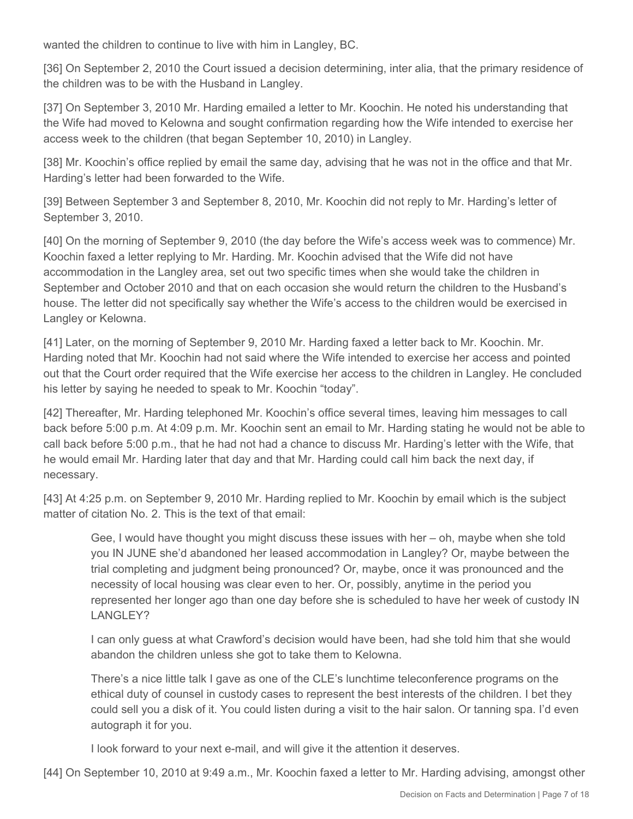wanted the children to continue to live with him in Langley, BC.

[36] On September 2, 2010 the Court issued a decision determining, inter alia, that the primary residence of the children was to be with the Husband in Langley.

[37] On September 3, 2010 Mr. Harding emailed a letter to Mr. Koochin. He noted his understanding that the Wife had moved to Kelowna and sought confirmation regarding how the Wife intended to exercise her access week to the children (that began September 10, 2010) in Langley.

[38] Mr. Koochin's office replied by email the same day, advising that he was not in the office and that Mr. Harding's letter had been forwarded to the Wife.

[39] Between September 3 and September 8, 2010, Mr. Koochin did not reply to Mr. Harding's letter of September 3, 2010.

[40] On the morning of September 9, 2010 (the day before the Wife's access week was to commence) Mr. Koochin faxed a letter replying to Mr. Harding. Mr. Koochin advised that the Wife did not have accommodation in the Langley area, set out two specific times when she would take the children in September and October 2010 and that on each occasion she would return the children to the Husband's house. The letter did not specifically say whether the Wife's access to the children would be exercised in Langley or Kelowna.

[41] Later, on the morning of September 9, 2010 Mr. Harding faxed a letter back to Mr. Koochin. Mr. Harding noted that Mr. Koochin had not said where the Wife intended to exercise her access and pointed out that the Court order required that the Wife exercise her access to the children in Langley. He concluded his letter by saying he needed to speak to Mr. Koochin "today".

[42] Thereafter, Mr. Harding telephoned Mr. Koochin's office several times, leaving him messages to call back before 5:00 p.m. At 4:09 p.m. Mr. Koochin sent an email to Mr. Harding stating he would not be able to call back before 5:00 p.m., that he had not had a chance to discuss Mr. Harding's letter with the Wife, that he would email Mr. Harding later that day and that Mr. Harding could call him back the next day, if necessary.

[43] At 4:25 p.m. on September 9, 2010 Mr. Harding replied to Mr. Koochin by email which is the subject matter of citation No. 2. This is the text of that email:

Gee, I would have thought you might discuss these issues with her – oh, maybe when she told you IN JUNE she'd abandoned her leased accommodation in Langley? Or, maybe between the trial completing and judgment being pronounced? Or, maybe, once it was pronounced and the necessity of local housing was clear even to her. Or, possibly, anytime in the period you represented her longer ago than one day before she is scheduled to have her week of custody IN LANGLEY?

I can only guess at what Crawford's decision would have been, had she told him that she would abandon the children unless she got to take them to Kelowna.

There's a nice little talk I gave as one of the CLE's lunchtime teleconference programs on the ethical duty of counsel in custody cases to represent the best interests of the children. I bet they could sell you a disk of it. You could listen during a visit to the hair salon. Or tanning spa. I'd even autograph it for you.

I look forward to your next e-mail, and will give it the attention it deserves.

[44] On September 10, 2010 at 9:49 a.m., Mr. Koochin faxed a letter to Mr. Harding advising, amongst other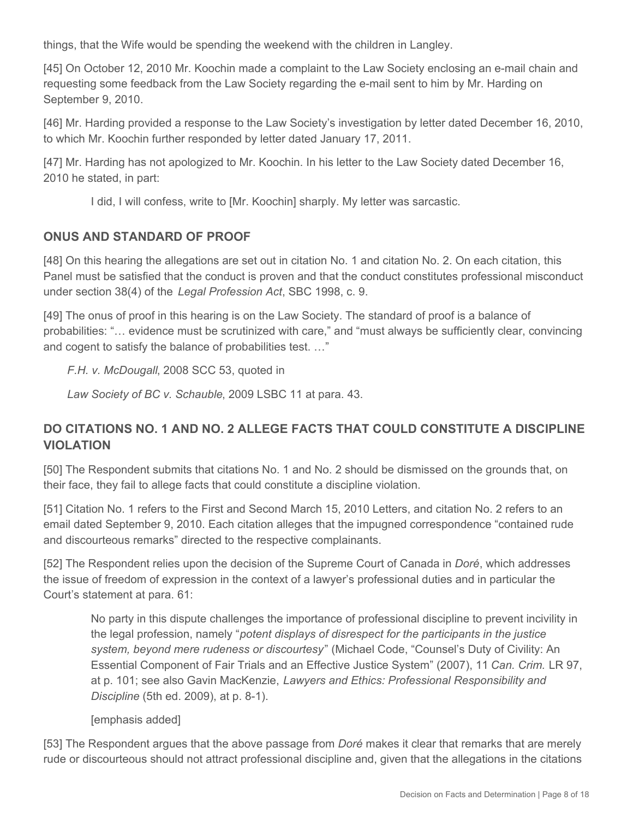things, that the Wife would be spending the weekend with the children in Langley.

[45] On October 12, 2010 Mr. Koochin made a complaint to the Law Society enclosing an e-mail chain and requesting some feedback from the Law Society regarding the e-mail sent to him by Mr. Harding on September 9, 2010.

[46] Mr. Harding provided a response to the Law Society's investigation by letter dated December 16, 2010, to which Mr. Koochin further responded by letter dated January 17, 2011.

[47] Mr. Harding has not apologized to Mr. Koochin. In his letter to the Law Society dated December 16, 2010 he stated, in part:

I did, I will confess, write to [Mr. Koochin] sharply. My letter was sarcastic.

## **ONUS AND STANDARD OF PROOF**

[48] On this hearing the allegations are set out in citation No. 1 and citation No. 2. On each citation, this Panel must be satisfied that the conduct is proven and that the conduct constitutes professional misconduct under section 38(4) of the *Legal Profession Act*, SBC 1998, c. 9.

[49] The onus of proof in this hearing is on the Law Society. The standard of proof is a balance of probabilities: "… evidence must be scrutinized with care," and "must always be sufficiently clear, convincing and cogent to satisfy the balance of probabilities test. …"

*F.H. v. McDougall*, 2008 SCC 53, quoted in

*Law Society of BC v. Schauble*, 2009 LSBC 11 at para. 43.

# **DO CITATIONS NO. 1 AND NO. 2 ALLEGE FACTS THAT COULD CONSTITUTE A DISCIPLINE VIOLATION**

[50] The Respondent submits that citations No. 1 and No. 2 should be dismissed on the grounds that, on their face, they fail to allege facts that could constitute a discipline violation.

[51] Citation No. 1 refers to the First and Second March 15, 2010 Letters, and citation No. 2 refers to an email dated September 9, 2010. Each citation alleges that the impugned correspondence "contained rude and discourteous remarks" directed to the respective complainants.

[52] The Respondent relies upon the decision of the Supreme Court of Canada in *Doré*, which addresses the issue of freedom of expression in the context of a lawyer's professional duties and in particular the Court's statement at para. 61:

No party in this dispute challenges the importance of professional discipline to prevent incivility in the legal profession, namely "*potent displays of disrespect for the participants in the justice system, beyond mere rudeness or discourtesy*" (Michael Code, "Counsel's Duty of Civility: An Essential Component of Fair Trials and an Effective Justice System" (2007), 11 *Can. Crim.* LR 97, at p. 101; see also Gavin MacKenzie, *Lawyers and Ethics: Professional Responsibility and Discipline* (5th ed. 2009), at p. 8-1).

#### [emphasis added]

[53] The Respondent argues that the above passage from *Doré* makes it clear that remarks that are merely rude or discourteous should not attract professional discipline and, given that the allegations in the citations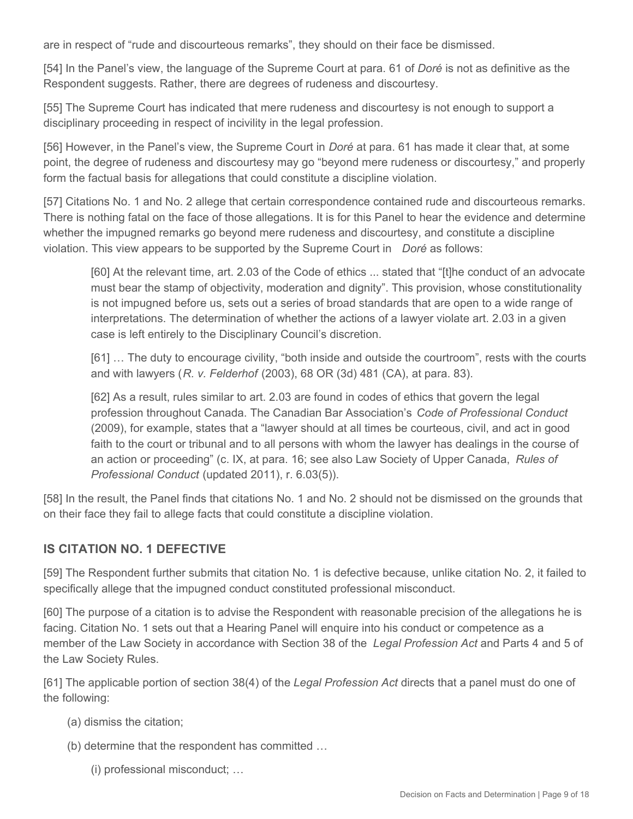are in respect of "rude and discourteous remarks", they should on their face be dismissed.

[54] In the Panel's view, the language of the Supreme Court at para. 61 of *Doré* is not as definitive as the Respondent suggests. Rather, there are degrees of rudeness and discourtesy.

[55] The Supreme Court has indicated that mere rudeness and discourtesy is not enough to support a disciplinary proceeding in respect of incivility in the legal profession.

[56] However, in the Panel's view, the Supreme Court in *Doré* at para. 61 has made it clear that, at some point, the degree of rudeness and discourtesy may go "beyond mere rudeness or discourtesy," and properly form the factual basis for allegations that could constitute a discipline violation.

[57] Citations No. 1 and No. 2 allege that certain correspondence contained rude and discourteous remarks. There is nothing fatal on the face of those allegations. It is for this Panel to hear the evidence and determine whether the impugned remarks go beyond mere rudeness and discourtesy, and constitute a discipline violation. This view appears to be supported by the Supreme Court in *Doré* as follows:

[60] At the relevant time, art. 2.03 of the Code of ethics ... stated that "[t]he conduct of an advocate must bear the stamp of objectivity, moderation and dignity". This provision, whose constitutionality is not impugned before us, sets out a series of broad standards that are open to a wide range of interpretations. The determination of whether the actions of a lawyer violate art. 2.03 in a given case is left entirely to the Disciplinary Council's discretion.

[61] … The duty to encourage civility, "both inside and outside the courtroom", rests with the courts and with lawyers (*R. v. Felderhof* (2003), 68 OR (3d) 481 (CA), at para. 83).

[62] As a result, rules similar to art. 2.03 are found in codes of ethics that govern the legal profession throughout Canada. The Canadian Bar Association's *Code of Professional Conduct*  (2009), for example, states that a "lawyer should at all times be courteous, civil, and act in good faith to the court or tribunal and to all persons with whom the lawyer has dealings in the course of an action or proceeding" (c. IX, at para. 16; see also Law Society of Upper Canada, *Rules of Professional Conduct* (updated 2011), r. 6.03(5)).

[58] In the result, the Panel finds that citations No. 1 and No. 2 should not be dismissed on the grounds that on their face they fail to allege facts that could constitute a discipline violation.

## **IS CITATION NO. 1 DEFECTIVE**

[59] The Respondent further submits that citation No. 1 is defective because, unlike citation No. 2, it failed to specifically allege that the impugned conduct constituted professional misconduct.

[60] The purpose of a citation is to advise the Respondent with reasonable precision of the allegations he is facing. Citation No. 1 sets out that a Hearing Panel will enquire into his conduct or competence as a member of the Law Society in accordance with Section 38 of the *Legal Profession Act* and Parts 4 and 5 of the Law Society Rules.

[61] The applicable portion of section 38(4) of the *Legal Profession Act* directs that a panel must do one of the following:

- (a) dismiss the citation;
- (b) determine that the respondent has committed …
	- (i) professional misconduct; …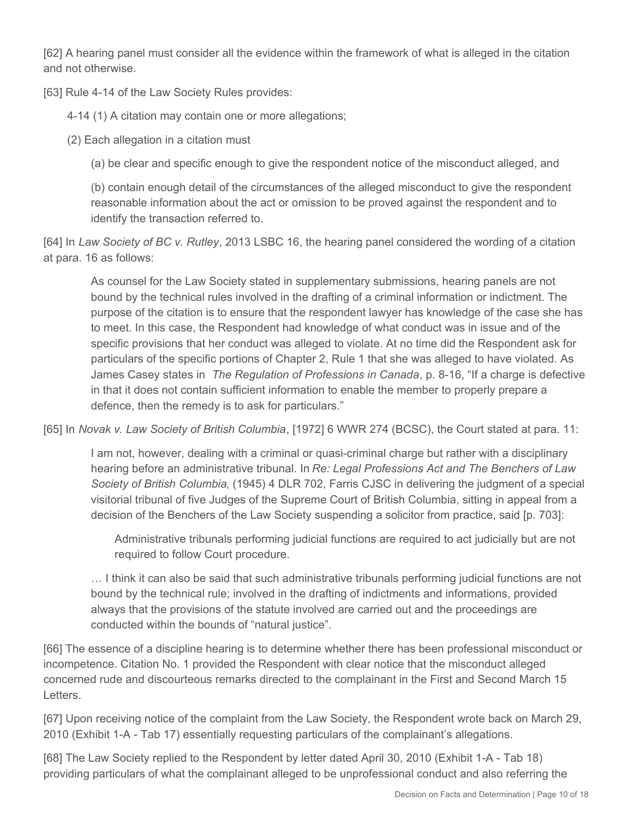[62] A hearing panel must consider all the evidence within the framework of what is alleged in the citation and not otherwise.

[63] Rule 4-14 of the Law Society Rules provides:

4-14 (1) A citation may contain one or more allegations;

(2) Each allegation in a citation must

(a) be clear and specific enough to give the respondent notice of the misconduct alleged, and

(b) contain enough detail of the circumstances of the alleged misconduct to give the respondent reasonable information about the act or omission to be proved against the respondent and to identify the transaction referred to.

[64] In *Law Society of BC v. Rutley*, 2013 LSBC 16, the hearing panel considered the wording of a citation at para. 16 as follows:

As counsel for the Law Society stated in supplementary submissions, hearing panels are not bound by the technical rules involved in the drafting of a criminal information or indictment. The purpose of the citation is to ensure that the respondent lawyer has knowledge of the case she has to meet. In this case, the Respondent had knowledge of what conduct was in issue and of the specific provisions that her conduct was alleged to violate. At no time did the Respondent ask for particulars of the specific portions of Chapter 2, Rule 1 that she was alleged to have violated. As James Casey states in *The Regulation of Professions in Canada*, p. 8-16, "If a charge is defective in that it does not contain sufficient information to enable the member to properly prepare a defence, then the remedy is to ask for particulars."

[65] In *Novak v. Law Society of British Columbia*, [1972] 6 WWR 274 (BCSC), the Court stated at para. 11:

I am not, however, dealing with a criminal or quasi-criminal charge but rather with a disciplinary hearing before an administrative tribunal. In *Re: Legal Professions Act and The Benchers of Law Society of British Columbia*, (1945) 4 DLR 702, Farris CJSC in delivering the judgment of a special visitorial tribunal of five Judges of the Supreme Court of British Columbia, sitting in appeal from a decision of the Benchers of the Law Society suspending a solicitor from practice, said [p. 703]:

Administrative tribunals performing judicial functions are required to act judicially but are not required to follow Court procedure.

… I think it can also be said that such administrative tribunals performing judicial functions are not bound by the technical rule; involved in the drafting of indictments and informations, provided always that the provisions of the statute involved are carried out and the proceedings are conducted within the bounds of "natural justice".

[66] The essence of a discipline hearing is to determine whether there has been professional misconduct or incompetence. Citation No. 1 provided the Respondent with clear notice that the misconduct alleged concerned rude and discourteous remarks directed to the complainant in the First and Second March 15 **Letters** 

[67] Upon receiving notice of the complaint from the Law Society, the Respondent wrote back on March 29, 2010 (Exhibit 1-A - Tab 17) essentially requesting particulars of the complainant's allegations.

[68] The Law Society replied to the Respondent by letter dated April 30, 2010 (Exhibit 1-A - Tab 18) providing particulars of what the complainant alleged to be unprofessional conduct and also referring the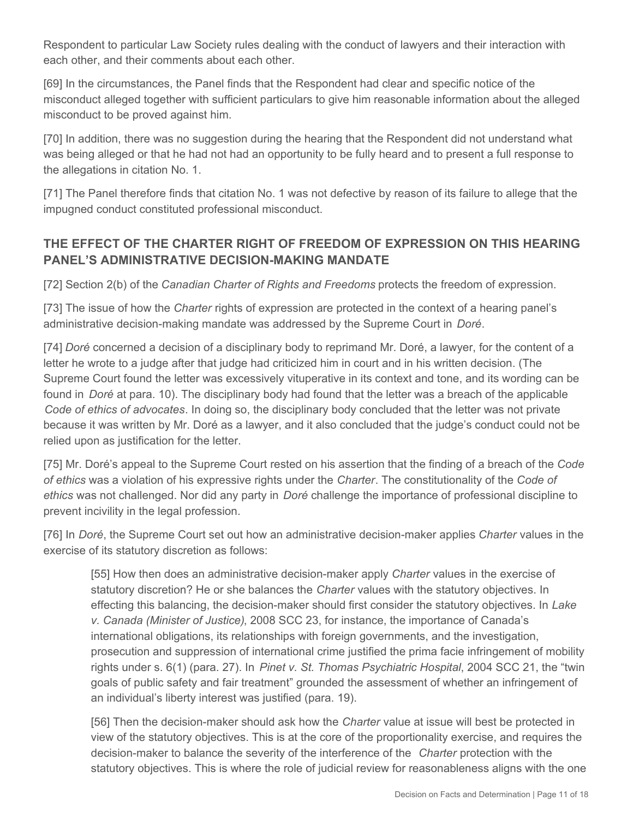Respondent to particular Law Society rules dealing with the conduct of lawyers and their interaction with each other, and their comments about each other.

[69] In the circumstances, the Panel finds that the Respondent had clear and specific notice of the misconduct alleged together with sufficient particulars to give him reasonable information about the alleged misconduct to be proved against him.

[70] In addition, there was no suggestion during the hearing that the Respondent did not understand what was being alleged or that he had not had an opportunity to be fully heard and to present a full response to the allegations in citation No. 1.

[71] The Panel therefore finds that citation No. 1 was not defective by reason of its failure to allege that the impugned conduct constituted professional misconduct.

# **THE EFFECT OF THE CHARTER RIGHT OF FREEDOM OF EXPRESSION ON THIS HEARING PANEL'S ADMINISTRATIVE DECISION-MAKING MANDATE**

[72] Section 2(b) of the *Canadian Charter of Rights and Freedoms* protects the freedom of expression.

[73] The issue of how the *Charter* rights of expression are protected in the context of a hearing panel's administrative decision-making mandate was addressed by the Supreme Court in *Doré*.

[74] *Doré* concerned a decision of a disciplinary body to reprimand Mr. Doré, a lawyer, for the content of a letter he wrote to a judge after that judge had criticized him in court and in his written decision. (The Supreme Court found the letter was excessively vituperative in its context and tone, and its wording can be found in *Doré* at para. 10). The disciplinary body had found that the letter was a breach of the applicable *Code of ethics of advocates*. In doing so, the disciplinary body concluded that the letter was not private because it was written by Mr. Doré as a lawyer, and it also concluded that the judge's conduct could not be relied upon as justification for the letter.

[75] Mr. Doré's appeal to the Supreme Court rested on his assertion that the finding of a breach of the *Code of ethics* was a violation of his expressive rights under the *Charter*. The constitutionality of the *Code of ethics* was not challenged. Nor did any party in *Doré* challenge the importance of professional discipline to prevent incivility in the legal profession.

[76] In *Doré*, the Supreme Court set out how an administrative decision-maker applies *Charter* values in the exercise of its statutory discretion as follows:

[55] How then does an administrative decision-maker apply *Charter* values in the exercise of statutory discretion? He or she balances the *Charter* values with the statutory objectives. In effecting this balancing, the decision-maker should first consider the statutory objectives. In *Lake v. Canada (Minister of Justice)*, 2008 SCC 23, for instance, the importance of Canada's international obligations, its relationships with foreign governments, and the investigation, prosecution and suppression of international crime justified the prima facie infringement of mobility rights under s. 6(1) (para. 27). In *Pinet v. St. Thomas Psychiatric Hospital*, 2004 SCC 21, the "twin goals of public safety and fair treatment" grounded the assessment of whether an infringement of an individual's liberty interest was justified (para. 19).

[56] Then the decision-maker should ask how the *Charter* value at issue will best be protected in view of the statutory objectives. This is at the core of the proportionality exercise, and requires the decision-maker to balance the severity of the interference of the *Charter* protection with the statutory objectives. This is where the role of judicial review for reasonableness aligns with the one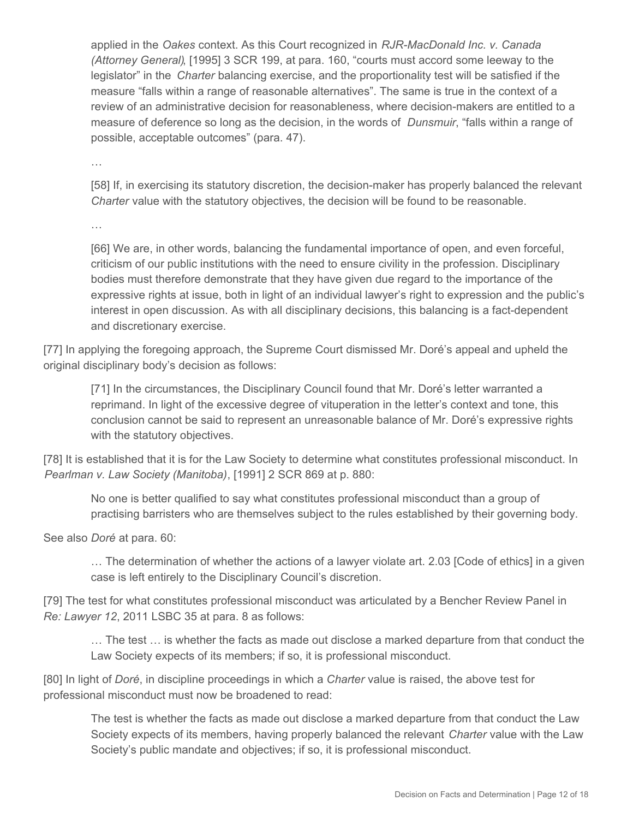applied in the *Oakes* context. As this Court recognized in *RJR-MacDonald Inc. v. Canada (Attorney General)*, [1995] 3 SCR 199, at para. 160, "courts must accord some leeway to the legislator" in the *Charter* balancing exercise, and the proportionality test will be satisfied if the measure "falls within a range of reasonable alternatives". The same is true in the context of a review of an administrative decision for reasonableness, where decision-makers are entitled to a measure of deference so long as the decision, in the words of *Dunsmuir*, "falls within a range of possible, acceptable outcomes" (para. 47).

…

[58] If, in exercising its statutory discretion, the decision-maker has properly balanced the relevant *Charter* value with the statutory objectives, the decision will be found to be reasonable.

…

[66] We are, in other words, balancing the fundamental importance of open, and even forceful, criticism of our public institutions with the need to ensure civility in the profession. Disciplinary bodies must therefore demonstrate that they have given due regard to the importance of the expressive rights at issue, both in light of an individual lawyer's right to expression and the public's interest in open discussion. As with all disciplinary decisions, this balancing is a fact-dependent and discretionary exercise.

[77] In applying the foregoing approach, the Supreme Court dismissed Mr. Doré's appeal and upheld the original disciplinary body's decision as follows:

[71] In the circumstances, the Disciplinary Council found that Mr. Doré's letter warranted a reprimand. In light of the excessive degree of vituperation in the letter's context and tone, this conclusion cannot be said to represent an unreasonable balance of Mr. Doré's expressive rights with the statutory objectives.

[78] It is established that it is for the Law Society to determine what constitutes professional misconduct. In *Pearlman v. Law Society (Manitoba)*, [1991] 2 SCR 869 at p. 880:

No one is better qualified to say what constitutes professional misconduct than a group of practising barristers who are themselves subject to the rules established by their governing body.

See also *Doré* at para. 60:

… The determination of whether the actions of a lawyer violate art. 2.03 [Code of ethics] in a given case is left entirely to the Disciplinary Council's discretion.

[79] The test for what constitutes professional misconduct was articulated by a Bencher Review Panel in *Re: Lawyer 12*, 2011 LSBC 35 at para. 8 as follows:

… The test … is whether the facts as made out disclose a marked departure from that conduct the Law Society expects of its members; if so, it is professional misconduct.

[80] In light of *Doré*, in discipline proceedings in which a *Charter* value is raised, the above test for professional misconduct must now be broadened to read:

The test is whether the facts as made out disclose a marked departure from that conduct the Law Society expects of its members, having properly balanced the relevant *Charter* value with the Law Society's public mandate and objectives; if so, it is professional misconduct.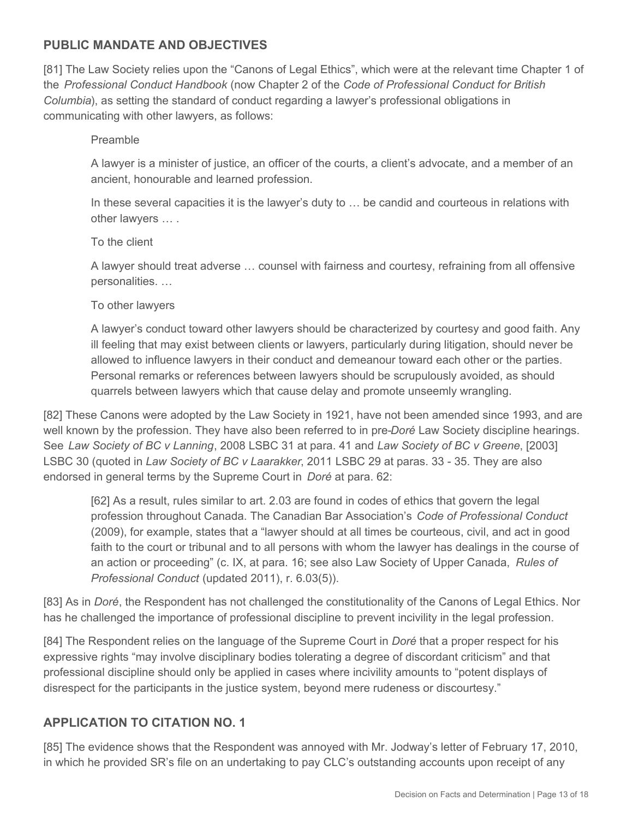## **PUBLIC MANDATE AND OBJECTIVES**

[81] The Law Society relies upon the "Canons of Legal Ethics", which were at the relevant time Chapter 1 of the *Professional Conduct Handbook* (now Chapter 2 of the *Code of Professional Conduct for British Columbia*), as setting the standard of conduct regarding a lawyer's professional obligations in communicating with other lawyers, as follows:

#### Preamble

A lawyer is a minister of justice, an officer of the courts, a client's advocate, and a member of an ancient, honourable and learned profession.

In these several capacities it is the lawyer's duty to … be candid and courteous in relations with other lawyers … .

#### To the client

A lawyer should treat adverse … counsel with fairness and courtesy, refraining from all offensive personalities. …

#### To other lawyers

A lawyer's conduct toward other lawyers should be characterized by courtesy and good faith. Any ill feeling that may exist between clients or lawyers, particularly during litigation, should never be allowed to influence lawyers in their conduct and demeanour toward each other or the parties. Personal remarks or references between lawyers should be scrupulously avoided, as should quarrels between lawyers which that cause delay and promote unseemly wrangling.

[82] These Canons were adopted by the Law Society in 1921, have not been amended since 1993, and are well known by the profession. They have also been referred to in pre-*Doré* Law Society discipline hearings. See *Law Society of BC v Lanning*, 2008 LSBC 31 at para. 41 and *Law Society of BC v Greene*, [2003] LSBC 30 (quoted in *Law Society of BC v Laarakker*, 2011 LSBC 29 at paras. 33 - 35. They are also endorsed in general terms by the Supreme Court in *Doré* at para. 62:

[62] As a result, rules similar to art. 2.03 are found in codes of ethics that govern the legal profession throughout Canada. The Canadian Bar Association's *Code of Professional Conduct*  (2009), for example, states that a "lawyer should at all times be courteous, civil, and act in good faith to the court or tribunal and to all persons with whom the lawyer has dealings in the course of an action or proceeding" (c. IX, at para. 16; see also Law Society of Upper Canada, *Rules of Professional Conduct* (updated 2011), r. 6.03(5)).

[83] As in *Doré*, the Respondent has not challenged the constitutionality of the Canons of Legal Ethics. Nor has he challenged the importance of professional discipline to prevent incivility in the legal profession.

[84] The Respondent relies on the language of the Supreme Court in *Doré* that a proper respect for his expressive rights "may involve disciplinary bodies tolerating a degree of discordant criticism" and that professional discipline should only be applied in cases where incivility amounts to "potent displays of disrespect for the participants in the justice system, beyond mere rudeness or discourtesy."

## **APPLICATION TO CITATION NO. 1**

[85] The evidence shows that the Respondent was annoyed with Mr. Jodway's letter of February 17, 2010, in which he provided SR's file on an undertaking to pay CLC's outstanding accounts upon receipt of any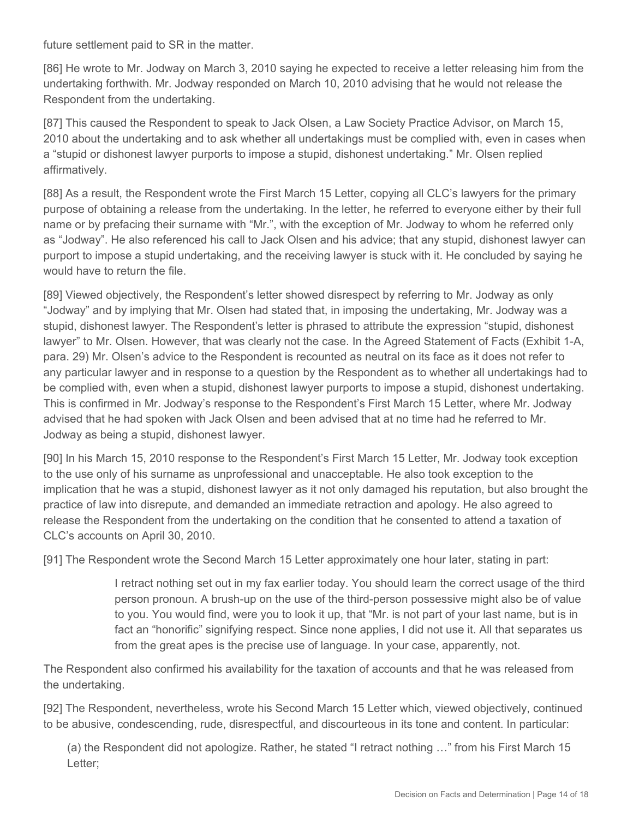future settlement paid to SR in the matter.

[86] He wrote to Mr. Jodway on March 3, 2010 saying he expected to receive a letter releasing him from the undertaking forthwith. Mr. Jodway responded on March 10, 2010 advising that he would not release the Respondent from the undertaking.

[87] This caused the Respondent to speak to Jack Olsen, a Law Society Practice Advisor, on March 15, 2010 about the undertaking and to ask whether all undertakings must be complied with, even in cases when a "stupid or dishonest lawyer purports to impose a stupid, dishonest undertaking." Mr. Olsen replied affirmatively.

[88] As a result, the Respondent wrote the First March 15 Letter, copying all CLC's lawyers for the primary purpose of obtaining a release from the undertaking. In the letter, he referred to everyone either by their full name or by prefacing their surname with "Mr.", with the exception of Mr. Jodway to whom he referred only as "Jodway". He also referenced his call to Jack Olsen and his advice; that any stupid, dishonest lawyer can purport to impose a stupid undertaking, and the receiving lawyer is stuck with it. He concluded by saying he would have to return the file.

[89] Viewed objectively, the Respondent's letter showed disrespect by referring to Mr. Jodway as only "Jodway" and by implying that Mr. Olsen had stated that, in imposing the undertaking, Mr. Jodway was a stupid, dishonest lawyer. The Respondent's letter is phrased to attribute the expression "stupid, dishonest lawyer" to Mr. Olsen. However, that was clearly not the case. In the Agreed Statement of Facts (Exhibit 1-A, para. 29) Mr. Olsen's advice to the Respondent is recounted as neutral on its face as it does not refer to any particular lawyer and in response to a question by the Respondent as to whether all undertakings had to be complied with, even when a stupid, dishonest lawyer purports to impose a stupid, dishonest undertaking. This is confirmed in Mr. Jodway's response to the Respondent's First March 15 Letter, where Mr. Jodway advised that he had spoken with Jack Olsen and been advised that at no time had he referred to Mr. Jodway as being a stupid, dishonest lawyer.

[90] In his March 15, 2010 response to the Respondent's First March 15 Letter, Mr. Jodway took exception to the use only of his surname as unprofessional and unacceptable. He also took exception to the implication that he was a stupid, dishonest lawyer as it not only damaged his reputation, but also brought the practice of law into disrepute, and demanded an immediate retraction and apology. He also agreed to release the Respondent from the undertaking on the condition that he consented to attend a taxation of CLC's accounts on April 30, 2010.

[91] The Respondent wrote the Second March 15 Letter approximately one hour later, stating in part:

I retract nothing set out in my fax earlier today. You should learn the correct usage of the third person pronoun. A brush-up on the use of the third-person possessive might also be of value to you. You would find, were you to look it up, that "Mr. is not part of your last name, but is in fact an "honorific" signifying respect. Since none applies, I did not use it. All that separates us from the great apes is the precise use of language. In your case, apparently, not.

The Respondent also confirmed his availability for the taxation of accounts and that he was released from the undertaking.

[92] The Respondent, nevertheless, wrote his Second March 15 Letter which, viewed objectively, continued to be abusive, condescending, rude, disrespectful, and discourteous in its tone and content. In particular:

(a) the Respondent did not apologize. Rather, he stated "I retract nothing …" from his First March 15 Letter;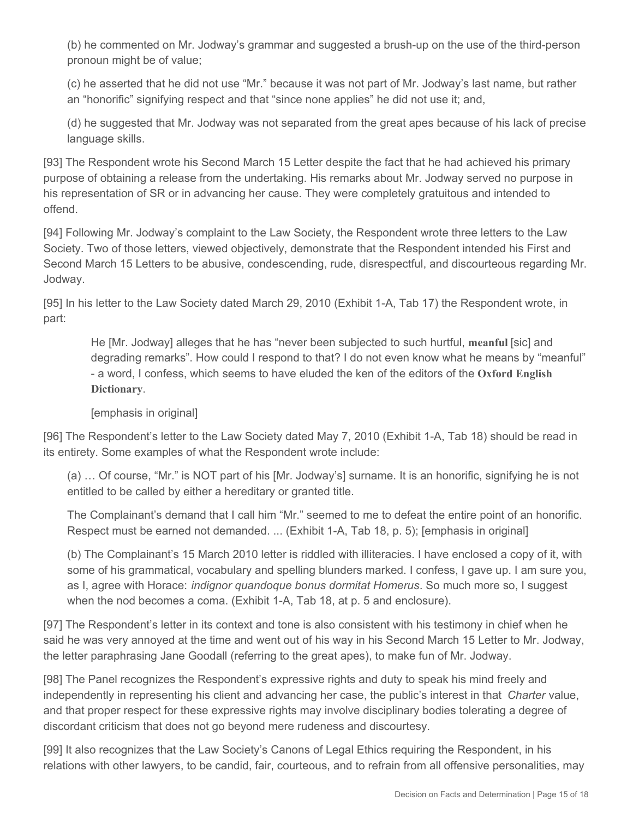(b) he commented on Mr. Jodway's grammar and suggested a brush-up on the use of the third-person pronoun might be of value;

(c) he asserted that he did not use "Mr." because it was not part of Mr. Jodway's last name, but rather an "honorific" signifying respect and that "since none applies" he did not use it; and,

(d) he suggested that Mr. Jodway was not separated from the great apes because of his lack of precise language skills.

[93] The Respondent wrote his Second March 15 Letter despite the fact that he had achieved his primary purpose of obtaining a release from the undertaking. His remarks about Mr. Jodway served no purpose in his representation of SR or in advancing her cause. They were completely gratuitous and intended to offend.

[94] Following Mr. Jodway's complaint to the Law Society, the Respondent wrote three letters to the Law Society. Two of those letters, viewed objectively, demonstrate that the Respondent intended his First and Second March 15 Letters to be abusive, condescending, rude, disrespectful, and discourteous regarding Mr. Jodway.

[95] In his letter to the Law Society dated March 29, 2010 (Exhibit 1-A, Tab 17) the Respondent wrote, in part:

He [Mr. Jodway] alleges that he has "never been subjected to such hurtful, **meanful** [sic] and degrading remarks". How could I respond to that? I do not even know what he means by "meanful" - a word, I confess, which seems to have eluded the ken of the editors of the **Oxford English Dictionary**.

#### [emphasis in original]

[96] The Respondent's letter to the Law Society dated May 7, 2010 (Exhibit 1-A, Tab 18) should be read in its entirety. Some examples of what the Respondent wrote include:

(a) … Of course, "Mr." is NOT part of his [Mr. Jodway's] surname. It is an honorific, signifying he is not entitled to be called by either a hereditary or granted title.

The Complainant's demand that I call him "Mr." seemed to me to defeat the entire point of an honorific. Respect must be earned not demanded. ... (Exhibit 1-A, Tab 18, p. 5); [emphasis in original]

(b) The Complainant's 15 March 2010 letter is riddled with illiteracies. I have enclosed a copy of it, with some of his grammatical, vocabulary and spelling blunders marked. I confess, I gave up. I am sure you, as I, agree with Horace: *indignor quandoque bonus dormitat Homerus*. So much more so, I suggest when the nod becomes a coma. (Exhibit 1-A, Tab 18, at p. 5 and enclosure).

[97] The Respondent's letter in its context and tone is also consistent with his testimony in chief when he said he was very annoyed at the time and went out of his way in his Second March 15 Letter to Mr. Jodway, the letter paraphrasing Jane Goodall (referring to the great apes), to make fun of Mr. Jodway.

[98] The Panel recognizes the Respondent's expressive rights and duty to speak his mind freely and independently in representing his client and advancing her case, the public's interest in that *Charter* value, and that proper respect for these expressive rights may involve disciplinary bodies tolerating a degree of discordant criticism that does not go beyond mere rudeness and discourtesy.

[99] It also recognizes that the Law Society's Canons of Legal Ethics requiring the Respondent, in his relations with other lawyers, to be candid, fair, courteous, and to refrain from all offensive personalities, may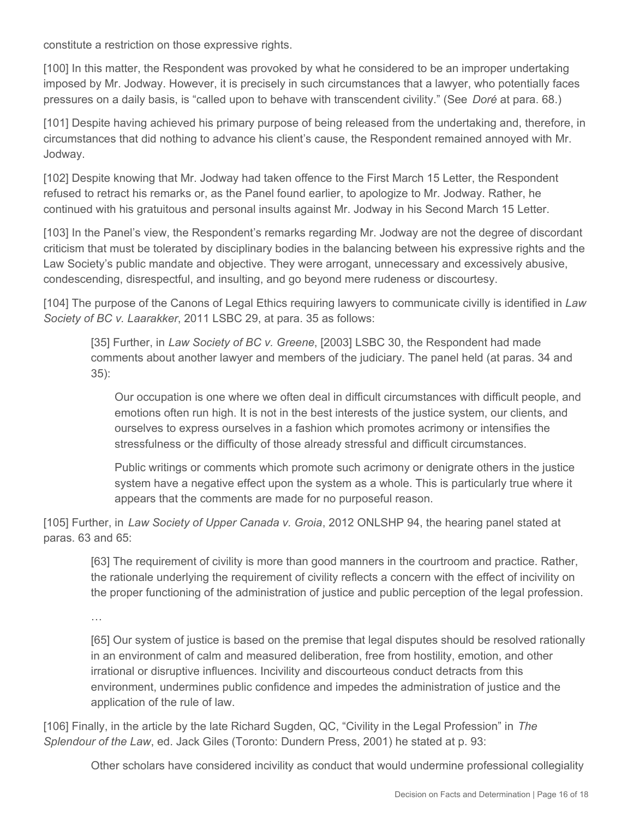constitute a restriction on those expressive rights.

[100] In this matter, the Respondent was provoked by what he considered to be an improper undertaking imposed by Mr. Jodway. However, it is precisely in such circumstances that a lawyer, who potentially faces pressures on a daily basis, is "called upon to behave with transcendent civility." (See *Doré* at para. 68.)

[101] Despite having achieved his primary purpose of being released from the undertaking and, therefore, in circumstances that did nothing to advance his client's cause, the Respondent remained annoyed with Mr. Jodway.

[102] Despite knowing that Mr. Jodway had taken offence to the First March 15 Letter, the Respondent refused to retract his remarks or, as the Panel found earlier, to apologize to Mr. Jodway. Rather, he continued with his gratuitous and personal insults against Mr. Jodway in his Second March 15 Letter.

[103] In the Panel's view, the Respondent's remarks regarding Mr. Jodway are not the degree of discordant criticism that must be tolerated by disciplinary bodies in the balancing between his expressive rights and the Law Society's public mandate and objective. They were arrogant, unnecessary and excessively abusive, condescending, disrespectful, and insulting, and go beyond mere rudeness or discourtesy.

[104] The purpose of the Canons of Legal Ethics requiring lawyers to communicate civilly is identified in *Law Society of BC v. Laarakker*, 2011 LSBC 29, at para. 35 as follows:

[35] Further, in *Law Society of BC v. Greene*, [2003] LSBC 30, the Respondent had made comments about another lawyer and members of the judiciary. The panel held (at paras. 34 and 35):

Our occupation is one where we often deal in difficult circumstances with difficult people, and emotions often run high. It is not in the best interests of the justice system, our clients, and ourselves to express ourselves in a fashion which promotes acrimony or intensifies the stressfulness or the difficulty of those already stressful and difficult circumstances.

Public writings or comments which promote such acrimony or denigrate others in the justice system have a negative effect upon the system as a whole. This is particularly true where it appears that the comments are made for no purposeful reason.

[105] Further, in *Law Society of Upper Canada v. Groia*, 2012 ONLSHP 94, the hearing panel stated at paras. 63 and 65:

[63] The requirement of civility is more than good manners in the courtroom and practice. Rather, the rationale underlying the requirement of civility reflects a concern with the effect of incivility on the proper functioning of the administration of justice and public perception of the legal profession.

…

[65] Our system of justice is based on the premise that legal disputes should be resolved rationally in an environment of calm and measured deliberation, free from hostility, emotion, and other irrational or disruptive influences. Incivility and discourteous conduct detracts from this environment, undermines public confidence and impedes the administration of justice and the application of the rule of law.

[106] Finally, in the article by the late Richard Sugden, QC, "Civility in the Legal Profession" in *The Splendour of the Law*, ed. Jack Giles (Toronto: Dundern Press, 2001) he stated at p. 93:

Other scholars have considered incivility as conduct that would undermine professional collegiality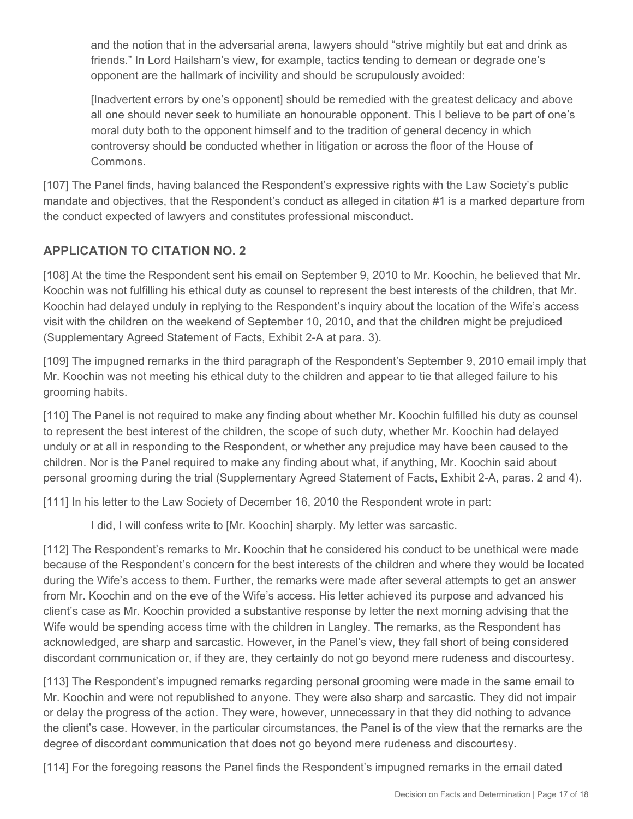and the notion that in the adversarial arena, lawyers should "strive mightily but eat and drink as friends." In Lord Hailsham's view, for example, tactics tending to demean or degrade one's opponent are the hallmark of incivility and should be scrupulously avoided:

[Inadvertent errors by one's opponent] should be remedied with the greatest delicacy and above all one should never seek to humiliate an honourable opponent. This I believe to be part of one's moral duty both to the opponent himself and to the tradition of general decency in which controversy should be conducted whether in litigation or across the floor of the House of Commons.

[107] The Panel finds, having balanced the Respondent's expressive rights with the Law Society's public mandate and objectives, that the Respondent's conduct as alleged in citation #1 is a marked departure from the conduct expected of lawyers and constitutes professional misconduct.

# **APPLICATION TO CITATION NO. 2**

[108] At the time the Respondent sent his email on September 9, 2010 to Mr. Koochin, he believed that Mr. Koochin was not fulfilling his ethical duty as counsel to represent the best interests of the children, that Mr. Koochin had delayed unduly in replying to the Respondent's inquiry about the location of the Wife's access visit with the children on the weekend of September 10, 2010, and that the children might be prejudiced (Supplementary Agreed Statement of Facts, Exhibit 2-A at para. 3).

[109] The impugned remarks in the third paragraph of the Respondent's September 9, 2010 email imply that Mr. Koochin was not meeting his ethical duty to the children and appear to tie that alleged failure to his grooming habits.

[110] The Panel is not required to make any finding about whether Mr. Koochin fulfilled his duty as counsel to represent the best interest of the children, the scope of such duty, whether Mr. Koochin had delayed unduly or at all in responding to the Respondent, or whether any prejudice may have been caused to the children. Nor is the Panel required to make any finding about what, if anything, Mr. Koochin said about personal grooming during the trial (Supplementary Agreed Statement of Facts, Exhibit 2-A, paras. 2 and 4).

[111] In his letter to the Law Society of December 16, 2010 the Respondent wrote in part:

I did, I will confess write to [Mr. Koochin] sharply. My letter was sarcastic.

[112] The Respondent's remarks to Mr. Koochin that he considered his conduct to be unethical were made because of the Respondent's concern for the best interests of the children and where they would be located during the Wife's access to them. Further, the remarks were made after several attempts to get an answer from Mr. Koochin and on the eve of the Wife's access. His letter achieved its purpose and advanced his client's case as Mr. Koochin provided a substantive response by letter the next morning advising that the Wife would be spending access time with the children in Langley. The remarks, as the Respondent has acknowledged, are sharp and sarcastic. However, in the Panel's view, they fall short of being considered discordant communication or, if they are, they certainly do not go beyond mere rudeness and discourtesy.

[113] The Respondent's impugned remarks regarding personal grooming were made in the same email to Mr. Koochin and were not republished to anyone. They were also sharp and sarcastic. They did not impair or delay the progress of the action. They were, however, unnecessary in that they did nothing to advance the client's case. However, in the particular circumstances, the Panel is of the view that the remarks are the degree of discordant communication that does not go beyond mere rudeness and discourtesy.

[114] For the foregoing reasons the Panel finds the Respondent's impugned remarks in the email dated